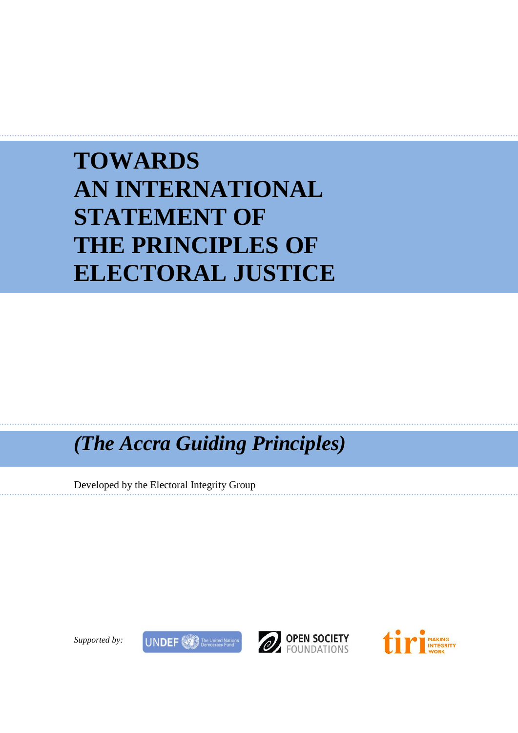# **TOWARDS AN INTERNATIONAL STATEMENT OF THE PRINCIPLES OF ELECTORAL JUSTICE**

*(The Accra Guiding Principles)*

Developed by the Electoral Integrity Group





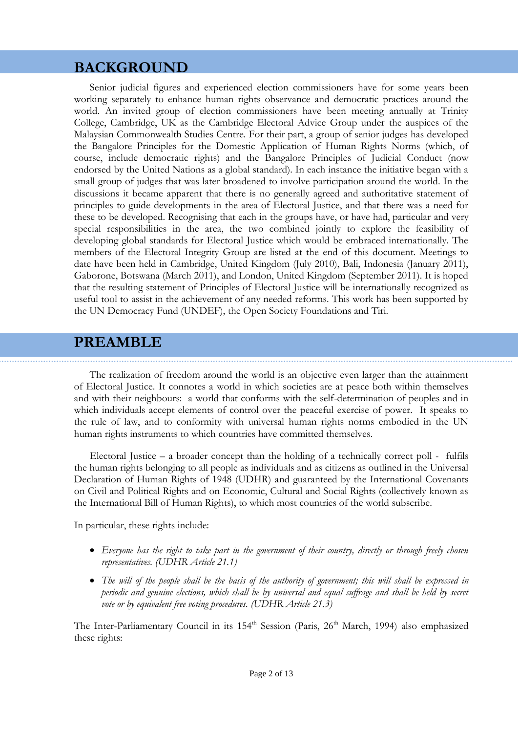# **BACKGROUND**

Senior judicial figures and experienced election commissioners have for some years been working separately to enhance human rights observance and democratic practices around the world. An invited group of election commissioners have been meeting annually at Trinity College, Cambridge, UK as the Cambridge Electoral Advice Group under the auspices of the Malaysian Commonwealth Studies Centre. For their part, a group of senior judges has developed the Bangalore Principles for the Domestic Application of Human Rights Norms (which, of course, include democratic rights) and the Bangalore Principles of Judicial Conduct (now endorsed by the United Nations as a global standard). In each instance the initiative began with a small group of judges that was later broadened to involve participation around the world. In the discussions it became apparent that there is no generally agreed and authoritative statement of principles to guide developments in the area of Electoral Justice, and that there was a need for these to be developed. Recognising that each in the groups have, or have had, particular and very special responsibilities in the area, the two combined jointly to explore the feasibility of developing global standards for Electoral Justice which would be embraced internationally. The members of the Electoral Integrity Group are listed at the end of this document. Meetings to date have been held in Cambridge, United Kingdom (July 2010), Bali, Indonesia (January 2011), Gaborone, Botswana (March 2011), and London, United Kingdom (September 2011). It is hoped that the resulting statement of Principles of Electoral Justice will be internationally recognized as useful tool to assist in the achievement of any needed reforms. This work has been supported by the UN Democracy Fund (UNDEF), the Open Society Foundations and Tiri.

# **PREAMBLE**

The realization of freedom around the world is an objective even larger than the attainment of Electoral Justice. It connotes a world in which societies are at peace both within themselves and with their neighbours: a world that conforms with the self-determination of peoples and in which individuals accept elements of control over the peaceful exercise of power. It speaks to the rule of law, and to conformity with universal human rights norms embodied in the UN human rights instruments to which countries have committed themselves.

Electoral Justice – a broader concept than the holding of a technically correct poll - fulfils the human rights belonging to all people as individuals and as citizens as outlined in the Universal Declaration of Human Rights of 1948 (UDHR) and guaranteed by the International Covenants on Civil and Political Rights and on Economic, Cultural and Social Rights (collectively known as the International Bill of Human Rights), to which most countries of the world subscribe.

In particular, these rights include:

- *Everyone has the right to take part in the government of their country, directly or through freely chosen representatives. (UDHR Article 21.1)*
- *The will of the people shall be the basis of the authority of government; this will shall be expressed in periodic and genuine elections, which shall be by universal and equal suffrage and shall be held by secret vote or by equivalent free voting procedures. (UDHR Article 21.3)*

The Inter-Parliamentary Council in its 154<sup>th</sup> Session (Paris, 26<sup>th</sup> March, 1994) also emphasized these rights: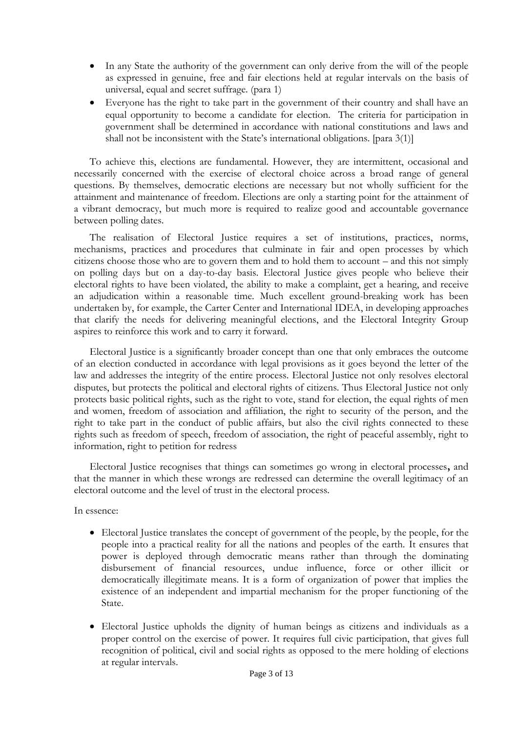- In any State the authority of the government can only derive from the will of the people as expressed in genuine, free and fair elections held at regular intervals on the basis of universal, equal and secret suffrage. (para 1)
- Everyone has the right to take part in the government of their country and shall have an equal opportunity to become a candidate for election. The criteria for participation in government shall be determined in accordance with national constitutions and laws and shall not be inconsistent with the State's international obligations. [para 3(1)]

To achieve this, elections are fundamental. However, they are intermittent, occasional and necessarily concerned with the exercise of electoral choice across a broad range of general questions. By themselves, democratic elections are necessary but not wholly sufficient for the attainment and maintenance of freedom. Elections are only a starting point for the attainment of a vibrant democracy, but much more is required to realize good and accountable governance between polling dates.

The realisation of Electoral Justice requires a set of institutions, practices, norms, mechanisms, practices and procedures that culminate in fair and open processes by which citizens choose those who are to govern them and to hold them to account – and this not simply on polling days but on a day-to-day basis. Electoral Justice gives people who believe their electoral rights to have been violated, the ability to make a complaint, get a hearing, and receive an adjudication within a reasonable time. Much excellent ground-breaking work has been undertaken by, for example, the Carter Center and International IDEA, in developing approaches that clarify the needs for delivering meaningful elections, and the Electoral Integrity Group aspires to reinforce this work and to carry it forward.

Electoral Justice is a significantly broader concept than one that only embraces the outcome of an election conducted in accordance with legal provisions as it goes beyond the letter of the law and addresses the integrity of the entire process. Electoral Justice not only resolves electoral disputes, but protects the political and electoral rights of citizens. Thus Electoral Justice not only protects basic political rights, such as the right to vote, stand for election, the equal rights of men and women, freedom of association and affiliation, the right to security of the person, and the right to take part in the conduct of public affairs, but also the civil rights connected to these rights such as freedom of speech, freedom of association, the right of peaceful assembly, right to information, right to petition for redress

Electoral Justice recognises that things can sometimes go wrong in electoral processes**,** and that the manner in which these wrongs are redressed can determine the overall legitimacy of an electoral outcome and the level of trust in the electoral process.

In essence:

- Electoral Justice translates the concept of government of the people, by the people, for the people into a practical reality for all the nations and peoples of the earth. It ensures that power is deployed through democratic means rather than through the dominating disbursement of financial resources, undue influence, force or other illicit or democratically illegitimate means. It is a form of organization of power that implies the existence of an independent and impartial mechanism for the proper functioning of the State.
- Electoral Justice upholds the dignity of human beings as citizens and individuals as a proper control on the exercise of power. It requires full civic participation, that gives full recognition of political, civil and social rights as opposed to the mere holding of elections at regular intervals.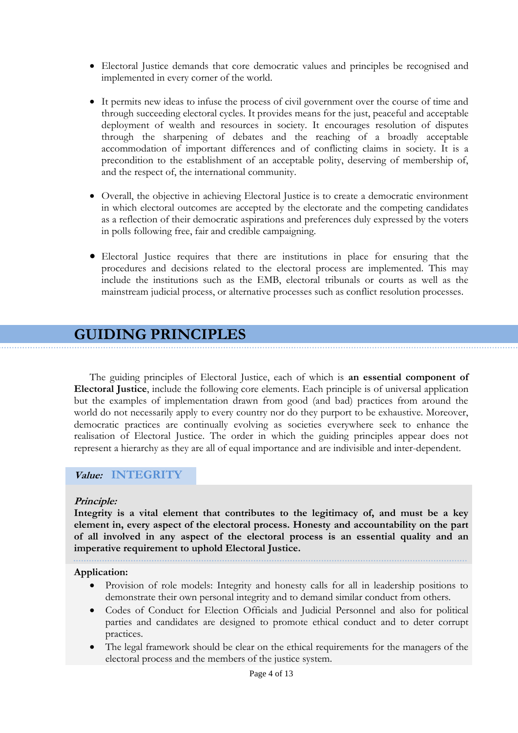- Electoral Justice demands that core democratic values and principles be recognised and implemented in every corner of the world.
- It permits new ideas to infuse the process of civil government over the course of time and through succeeding electoral cycles. It provides means for the just, peaceful and acceptable deployment of wealth and resources in society. It encourages resolution of disputes through the sharpening of debates and the reaching of a broadly acceptable accommodation of important differences and of conflicting claims in society. It is a precondition to the establishment of an acceptable polity, deserving of membership of, and the respect of, the international community.
- Overall, the objective in achieving Electoral Justice is to create a democratic environment in which electoral outcomes are accepted by the electorate and the competing candidates as a reflection of their democratic aspirations and preferences duly expressed by the voters in polls following free, fair and credible campaigning.
- Electoral Justice requires that there are institutions in place for ensuring that the procedures and decisions related to the electoral process are implemented. This may include the institutions such as the EMB, electoral tribunals or courts as well as the mainstream judicial process, or alternative processes such as conflict resolution processes.

# **GUIDING PRINCIPLES**

The guiding principles of Electoral Justice, each of which is **an essential component of Electoral Justice**, include the following core elements. Each principle is of universal application but the examples of implementation drawn from good (and bad) practices from around the world do not necessarily apply to every country nor do they purport to be exhaustive. Moreover, democratic practices are continually evolving as societies everywhere seek to enhance the realisation of Electoral Justice. The order in which the guiding principles appear does not represent a hierarchy as they are all of equal importance and are indivisible and inter-dependent.

## **Value: INTEGRITY**

#### **Principle:**

**Integrity is a vital element that contributes to the legitimacy of, and must be a key element in, every aspect of the electoral process. Honesty and accountability on the part of all involved in any aspect of the electoral process is an essential quality and an imperative requirement to uphold Electoral Justice.** 

#### **Application:**

- Provision of role models: Integrity and honesty calls for all in leadership positions to demonstrate their own personal integrity and to demand similar conduct from others.
- Codes of Conduct for Election Officials and Judicial Personnel and also for political parties and candidates are designed to promote ethical conduct and to deter corrupt practices.
- The legal framework should be clear on the ethical requirements for the managers of the electoral process and the members of the justice system.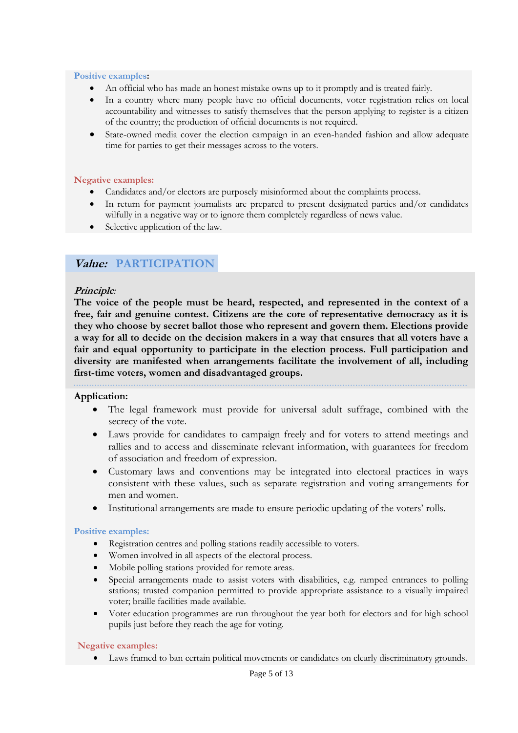#### **Positive examples:**

- An official who has made an honest mistake owns up to it promptly and is treated fairly.
- In a country where many people have no official documents, voter registration relies on local accountability and witnesses to satisfy themselves that the person applying to register is a citizen of the country; the production of official documents is not required.
- State-owned media cover the election campaign in an even-handed fashion and allow adequate time for parties to get their messages across to the voters.

#### **Negative examples:**

- Candidates and/or electors are purposely misinformed about the complaints process.
- In return for payment journalists are prepared to present designated parties and/or candidates wilfully in a negative way or to ignore them completely regardless of news value.
- Selective application of the law.

# **Value: PARTICIPATION**

#### **Principle***:*

**The voice of the people must be heard, respected, and represented in the context of a free, fair and genuine contest. Citizens are the core of representative democracy as it is they who choose by secret ballot those who represent and govern them. Elections provide a way for all to decide on the decision makers in a way that ensures that all voters have a fair and equal opportunity to participate in the election process. Full participation and diversity are manifested when arrangements facilitate the involvement of all, including first-time voters, women and disadvantaged groups.**

# **Application:**

- The legal framework must provide for universal adult suffrage, combined with the secrecy of the vote.
	- Laws provide for candidates to campaign freely and for voters to attend meetings and rallies and to access and disseminate relevant information, with guarantees for freedom of association and freedom of expression.
	- Customary laws and conventions may be integrated into electoral practices in ways consistent with these values, such as separate registration and voting arrangements for men and women.
	- Institutional arrangements are made to ensure periodic updating of the voters" rolls.

#### **Positive examples:**

- Registration centres and polling stations readily accessible to voters.
- Women involved in all aspects of the electoral process.
- Mobile polling stations provided for remote areas.
- Special arrangements made to assist voters with disabilities, e.g. ramped entrances to polling stations; trusted companion permitted to provide appropriate assistance to a visually impaired voter; braille facilities made available.
- Voter education programmes are run throughout the year both for electors and for high school pupils just before they reach the age for voting.

#### **Negative examples:**

Laws framed to ban certain political movements or candidates on clearly discriminatory grounds.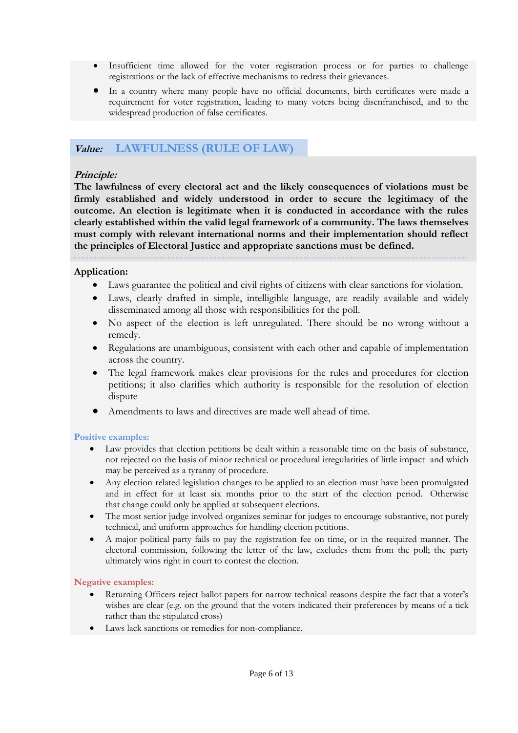- Insufficient time allowed for the voter registration process or for parties to challenge registrations or the lack of effective mechanisms to redress their grievances.
- In a country where many people have no official documents, birth certificates were made a requirement for voter registration, leading to many voters being disenfranchised, and to the widespread production of false certificates.

### **Value: LAWFULNESS (RULE OF LAW)**

#### **Principle:**

**The lawfulness of every electoral act and the likely consequences of violations must be firmly established and widely understood in order to secure the legitimacy of the outcome. An election is legitimate when it is conducted in accordance with the rules clearly established within the valid legal framework of a community. The laws themselves must comply with relevant international norms and their implementation should reflect the principles of Electoral Justice and appropriate sanctions must be defined.** 

#### **Application:**

- Laws guarantee the political and civil rights of citizens with clear sanctions for violation.
- Laws, clearly drafted in simple, intelligible language, are readily available and widely disseminated among all those with responsibilities for the poll.
- No aspect of the election is left unregulated. There should be no wrong without a remedy.
- Regulations are unambiguous, consistent with each other and capable of implementation across the country.
- The legal framework makes clear provisions for the rules and procedures for election petitions; it also clarifies which authority is responsible for the resolution of election dispute
- Amendments to laws and directives are made well ahead of time.

#### **Positive examples:**

- Law provides that election petitions be dealt within a reasonable time on the basis of substance, not rejected on the basis of minor technical or procedural irregularities of little impact and which may be perceived as a tyranny of procedure.
- Any election related legislation changes to be applied to an election must have been promulgated and in effect for at least six months prior to the start of the election period. Otherwise that change could only be applied at subsequent elections.
- The most senior judge involved organizes seminar for judges to encourage substantive, not purely technical, and uniform approaches for handling election petitions.
- A major political party fails to pay the registration fee on time, or in the required manner. The electoral commission, following the letter of the law, excludes them from the poll; the party ultimately wins right in court to contest the election.

#### **Negative examples:**

- Returning Officers reject ballot papers for narrow technical reasons despite the fact that a voter's wishes are clear (e.g. on the ground that the voters indicated their preferences by means of a tick rather than the stipulated cross)
- Laws lack sanctions or remedies for non-compliance.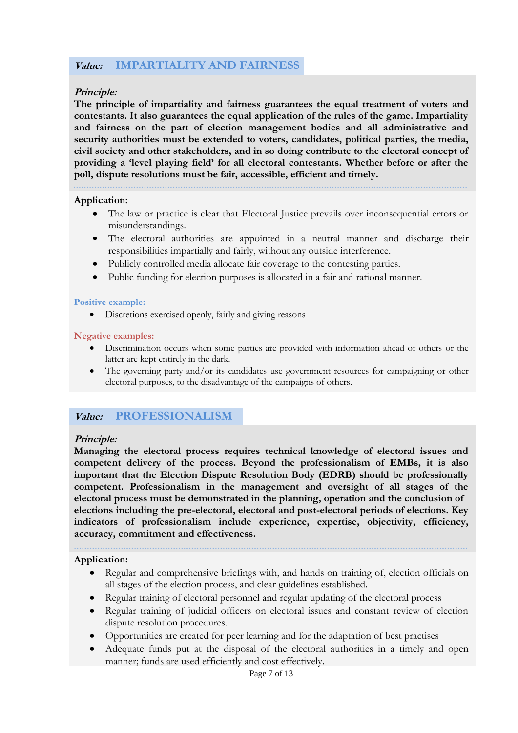# **Value: IMPARTIALITY AND FAIRNESS**

### **Principle:**

**The principle of impartiality and fairness guarantees the equal treatment of voters and contestants. It also guarantees the equal application of the rules of the game. Impartiality and fairness on the part of election management bodies and all administrative and security authorities must be extended to voters, candidates, political parties, the media, civil society and other stakeholders, and in so doing contribute to the electoral concept of providing a 'level playing field' for all electoral contestants. Whether before or after the poll, dispute resolutions must be fair, accessible, efficient and timely.**

#### **Application:**

- The law or practice is clear that Electoral Justice prevails over inconsequential errors or misunderstandings.
- The electoral authorities are appointed in a neutral manner and discharge their responsibilities impartially and fairly, without any outside interference.
- Publicly controlled media allocate fair coverage to the contesting parties.
- Public funding for election purposes is allocated in a fair and rational manner.

#### **Positive example:**

Discretions exercised openly, fairly and giving reasons

#### **Negative examples:**

- Discrimination occurs when some parties are provided with information ahead of others or the latter are kept entirely in the dark.
- The governing party and/or its candidates use government resources for campaigning or other electoral purposes, to the disadvantage of the campaigns of others.

## **Value: PROFESSIONALISM**

#### **Principle:**

**Managing the electoral process requires technical knowledge of electoral issues and competent delivery of the process. Beyond the professionalism of EMBs, it is also important that the Election Dispute Resolution Body (EDRB) should be professionally competent. Professionalism in the management and oversight of all stages of the electoral process must be demonstrated in the planning, operation and the conclusion of elections including the pre-electoral, electoral and post-electoral periods of elections. Key indicators of professionalism include experience, expertise, objectivity, efficiency, accuracy, commitment and effectiveness.** 

**Application:**

- Regular and comprehensive briefings with, and hands on training of, election officials on all stages of the election process, and clear guidelines established.
- Regular training of electoral personnel and regular updating of the electoral process
- Regular training of judicial officers on electoral issues and constant review of election dispute resolution procedures.
- Opportunities are created for peer learning and for the adaptation of best practises
- Adequate funds put at the disposal of the electoral authorities in a timely and open manner; funds are used efficiently and cost effectively.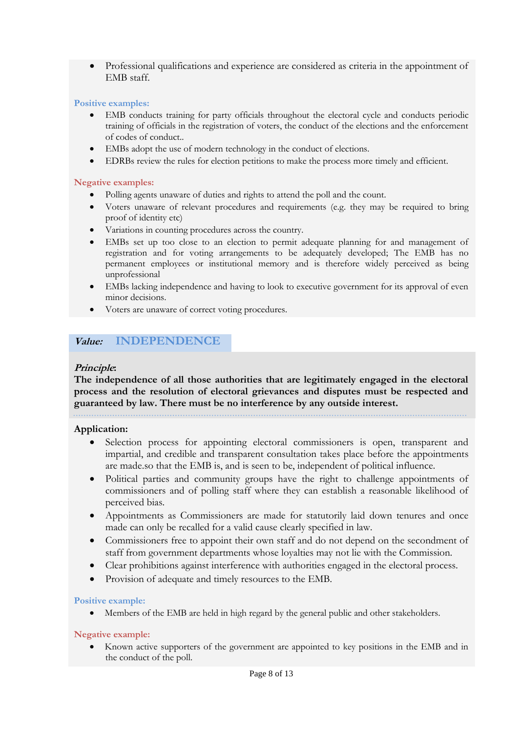Professional qualifications and experience are considered as criteria in the appointment of EMB staff.

#### **Positive examples:**

- EMB conducts training for party officials throughout the electoral cycle and conducts periodic training of officials in the registration of voters, the conduct of the elections and the enforcement of codes of conduct..
- EMBs adopt the use of modern technology in the conduct of elections.
- EDRBs review the rules for election petitions to make the process more timely and efficient.

#### **Negative examples:**

- Polling agents unaware of duties and rights to attend the poll and the count.
- Voters unaware of relevant procedures and requirements (e.g. they may be required to bring proof of identity etc)
- Variations in counting procedures across the country.
- EMBs set up too close to an election to permit adequate planning for and management of registration and for voting arrangements to be adequately developed; The EMB has no permanent employees or institutional memory and is therefore widely perceived as being unprofessional
- EMBs lacking independence and having to look to executive government for its approval of even minor decisions.
- Voters are unaware of correct voting procedures.

## **Value: INDEPENDENCE**

#### **Principle:**

**The independence of all those authorities that are legitimately engaged in the electoral process and the resolution of electoral grievances and disputes must be respected and guaranteed by law. There must be no interference by any outside interest.** 

#### **Application:**

- Selection process for appointing electoral commissioners is open, transparent and impartial, and credible and transparent consultation takes place before the appointments are made.so that the EMB is, and is seen to be, independent of political influence.
- Political parties and community groups have the right to challenge appointments of commissioners and of polling staff where they can establish a reasonable likelihood of perceived bias.
- Appointments as Commissioners are made for statutorily laid down tenures and once made can only be recalled for a valid cause clearly specified in law.
- Commissioners free to appoint their own staff and do not depend on the secondment of staff from government departments whose loyalties may not lie with the Commission.
- Clear prohibitions against interference with authorities engaged in the electoral process.
- Provision of adequate and timely resources to the EMB.

#### **Positive example:**

Members of the EMB are held in high regard by the general public and other stakeholders.

#### **Negative example:**

 Known active supporters of the government are appointed to key positions in the EMB and in the conduct of the poll.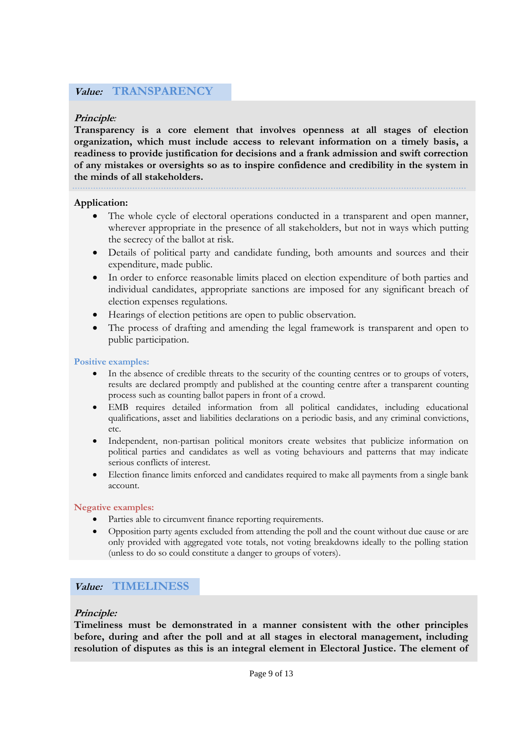# **Value:****TRANSPARENCY**

### **Principle***:*

**Transparency is a core element that involves openness at all stages of election organization, which must include access to relevant information on a timely basis, a readiness to provide justification for decisions and a frank admission and swift correction of any mistakes or oversights so as to inspire confidence and credibility in the system in the minds of all stakeholders.** 

#### **Application:**

- The whole cycle of electoral operations conducted in a transparent and open manner, wherever appropriate in the presence of all stakeholders, but not in ways which putting the secrecy of the ballot at risk.
- Details of political party and candidate funding, both amounts and sources and their expenditure, made public.
- In order to enforce reasonable limits placed on election expenditure of both parties and individual candidates, appropriate sanctions are imposed for any significant breach of election expenses regulations.
- Hearings of election petitions are open to public observation.
- The process of drafting and amending the legal framework is transparent and open to public participation.

#### **Positive examples:**

- In the absence of credible threats to the security of the counting centres or to groups of voters, results are declared promptly and published at the counting centre after a transparent counting process such as counting ballot papers in front of a crowd.
- EMB requires detailed information from all political candidates, including educational qualifications, asset and liabilities declarations on a periodic basis, and any criminal convictions, etc.
- Independent, non-partisan political monitors create websites that publicize information on political parties and candidates as well as voting behaviours and patterns that may indicate serious conflicts of interest.
- Election finance limits enforced and candidates required to make all payments from a single bank account.

#### **Negative examples:**

- Parties able to circumvent finance reporting requirements.
- Opposition party agents excluded from attending the poll and the count without due cause or are only provided with aggregated vote totals, not voting breakdowns ideally to the polling station (unless to do so could constitute a danger to groups of voters).

## **Value:****TIMELINESS**

#### **Principle:**

**Timeliness must be demonstrated in a manner consistent with the other principles before, during and after the poll and at all stages in electoral management, including resolution of disputes as this is an integral element in Electoral Justice. The element of**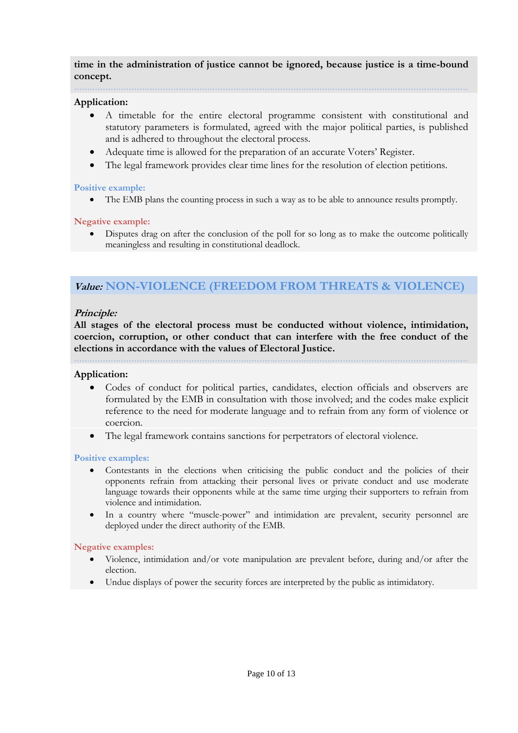**time in the administration of justice cannot be ignored, because justice is a time-bound concept.**

#### **Application:**

. . . . . . . . . . . . . .

- A timetable for the entire electoral programme consistent with constitutional and statutory parameters is formulated, agreed with the major political parties, is published and is adhered to throughout the electoral process.
- Adequate time is allowed for the preparation of an accurate Voters' Register.
- The legal framework provides clear time lines for the resolution of election petitions.

#### **Positive example:**

• The EMB plans the counting process in such a way as to be able to announce results promptly.

#### **Negative example:**

 Disputes drag on after the conclusion of the poll for so long as to make the outcome politically meaningless and resulting in constitutional deadlock.

# **Value: NON-VIOLENCE (FREEDOM FROM THREATS & VIOLENCE)**

#### **Principle:**

**All stages of the electoral process must be conducted without violence, intimidation, coercion, corruption, or other conduct that can interfere with the free conduct of the elections in accordance with the values of Electoral Justice.**

#### **Application:**

- Codes of conduct for political parties, candidates, election officials and observers are formulated by the EMB in consultation with those involved; and the codes make explicit reference to the need for moderate language and to refrain from any form of violence or coercion.
- The legal framework contains sanctions for perpetrators of electoral violence.

#### **Positive examples:**

- Contestants in the elections when criticising the public conduct and the policies of their opponents refrain from attacking their personal lives or private conduct and use moderate language towards their opponents while at the same time urging their supporters to refrain from violence and intimidation.
- In a country where "muscle-power" and intimidation are prevalent, security personnel are deployed under the direct authority of the EMB.

#### **Negative examples:**

- Violence, intimidation and/or vote manipulation are prevalent before, during and/or after the election.
- Undue displays of power the security forces are interpreted by the public as intimidatory.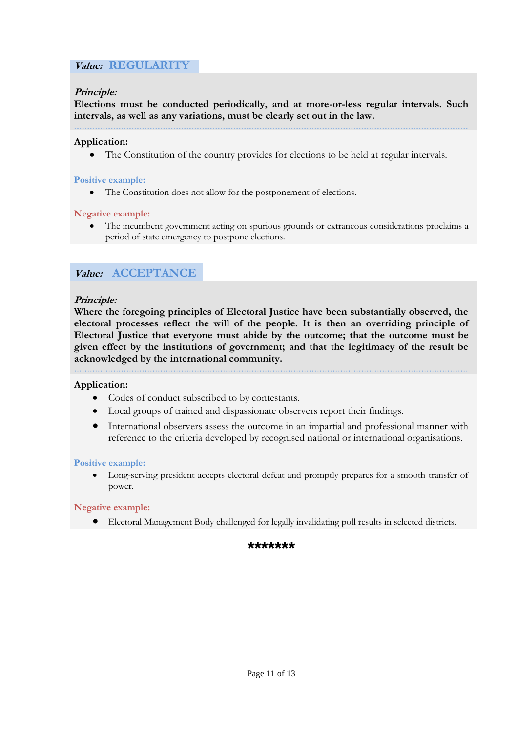# **Value:****REGULARITY**

### **Principle:**

**Elections must be conducted periodically, and at more-or-less regular intervals. Such intervals, as well as any variations, must be clearly set out in the law.**

#### **Application:**

The Constitution of the country provides for elections to be held at regular intervals.

#### **Positive example:**

• The Constitution does not allow for the postponement of elections.

#### **Negative example:**

 The incumbent government acting on spurious grounds or extraneous considerations proclaims a period of state emergency to postpone elections.

# **Value:****ACCEPTANCE**

#### **Principle:**

**Where the foregoing principles of Electoral Justice have been substantially observed, the electoral processes reflect the will of the people. It is then an overriding principle of Electoral Justice that everyone must abide by the outcome; that the outcome must be given effect by the institutions of government; and that the legitimacy of the result be acknowledged by the international community.** 

#### **Application:**

- Codes of conduct subscribed to by contestants.
- Local groups of trained and dispassionate observers report their findings.
- International observers assess the outcome in an impartial and professional manner with reference to the criteria developed by recognised national or international organisations.

#### **Positive example:**

 Long-serving president accepts electoral defeat and promptly prepares for a smooth transfer of power.

#### **Negative example:**

Electoral Management Body challenged for legally invalidating poll results in selected districts.

#### **\*\*\*\*\*\*\***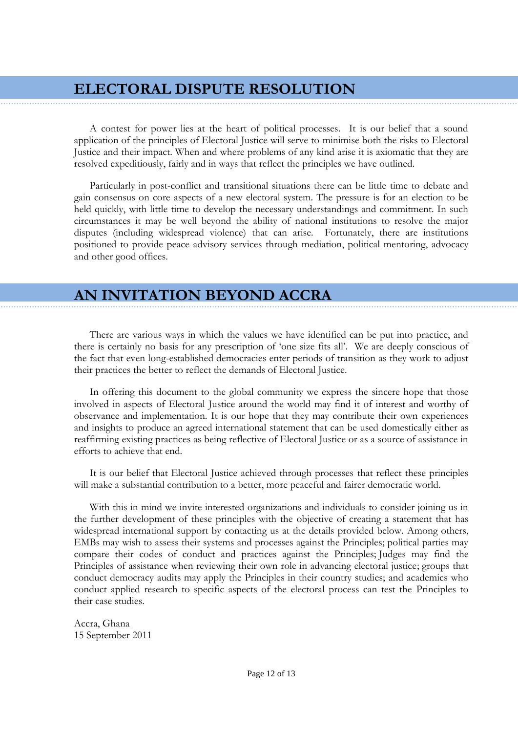# **ELECTORAL DISPUTE RESOLUTION**

A contest for power lies at the heart of political processes. It is our belief that a sound application of the principles of Electoral Justice will serve to minimise both the risks to Electoral Justice and their impact. When and where problems of any kind arise it is axiomatic that they are resolved expeditiously, fairly and in ways that reflect the principles we have outlined.

Particularly in post-conflict and transitional situations there can be little time to debate and gain consensus on core aspects of a new electoral system. The pressure is for an election to be held quickly, with little time to develop the necessary understandings and commitment. In such circumstances it may be well beyond the ability of national institutions to resolve the major disputes (including widespread violence) that can arise. Fortunately, there are institutions positioned to provide peace advisory services through mediation, political mentoring, advocacy and other good offices.

# **AN INVITATION BEYOND ACCRA**

There are various ways in which the values we have identified can be put into practice, and there is certainly no basis for any prescription of "one size fits all". We are deeply conscious of the fact that even long-established democracies enter periods of transition as they work to adjust their practices the better to reflect the demands of Electoral Justice.

In offering this document to the global community we express the sincere hope that those involved in aspects of Electoral Justice around the world may find it of interest and worthy of observance and implementation. It is our hope that they may contribute their own experiences and insights to produce an agreed international statement that can be used domestically either as reaffirming existing practices as being reflective of Electoral Justice or as a source of assistance in efforts to achieve that end.

It is our belief that Electoral Justice achieved through processes that reflect these principles will make a substantial contribution to a better, more peaceful and fairer democratic world.

With this in mind we invite interested organizations and individuals to consider joining us in the further development of these principles with the objective of creating a statement that has widespread international support by contacting us at the details provided below. Among others, EMBs may wish to assess their systems and processes against the Principles; political parties may compare their codes of conduct and practices against the Principles; Judges may find the Principles of assistance when reviewing their own role in advancing electoral justice; groups that conduct democracy audits may apply the Principles in their country studies; and academics who conduct applied research to specific aspects of the electoral process can test the Principles to their case studies.

Accra, Ghana 15 September 2011